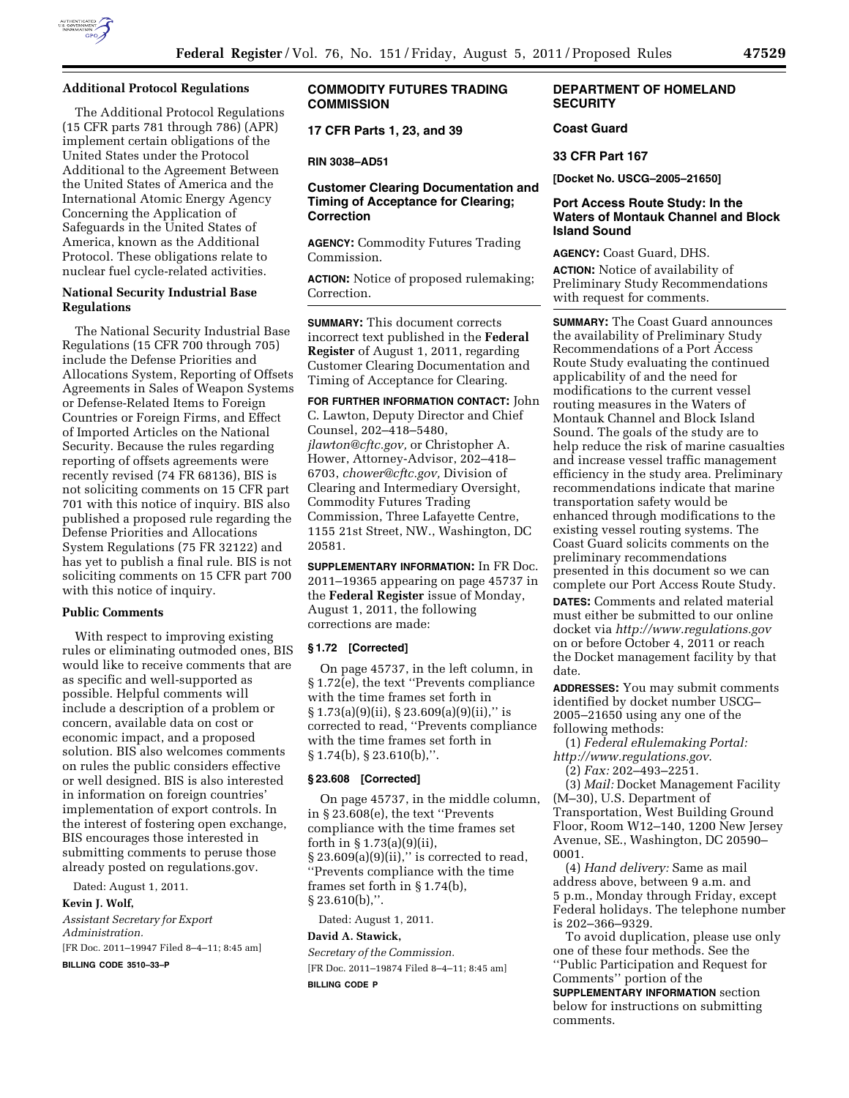

### **Additional Protocol Regulations**

The Additional Protocol Regulations (15 CFR parts 781 through 786) (APR) implement certain obligations of the United States under the Protocol Additional to the Agreement Between the United States of America and the International Atomic Energy Agency Concerning the Application of Safeguards in the United States of America, known as the Additional Protocol. These obligations relate to nuclear fuel cycle-related activities.

## **National Security Industrial Base Regulations**

The National Security Industrial Base Regulations (15 CFR 700 through 705) include the Defense Priorities and Allocations System, Reporting of Offsets Agreements in Sales of Weapon Systems or Defense-Related Items to Foreign Countries or Foreign Firms, and Effect of Imported Articles on the National Security. Because the rules regarding reporting of offsets agreements were recently revised (74 FR 68136), BIS is not soliciting comments on 15 CFR part 701 with this notice of inquiry. BIS also published a proposed rule regarding the Defense Priorities and Allocations System Regulations (75 FR 32122) and has yet to publish a final rule. BIS is not soliciting comments on 15 CFR part 700 with this notice of inquiry.

#### **Public Comments**

With respect to improving existing rules or eliminating outmoded ones, BIS would like to receive comments that are as specific and well-supported as possible. Helpful comments will include a description of a problem or concern, available data on cost or economic impact, and a proposed solution. BIS also welcomes comments on rules the public considers effective or well designed. BIS is also interested in information on foreign countries' implementation of export controls. In the interest of fostering open exchange, BIS encourages those interested in submitting comments to peruse those already posted on regulations.gov.

Dated: August 1, 2011.

**Kevin J. Wolf,** 

*Assistant Secretary for Export Administration.*  [FR Doc. 2011–19947 Filed 8–4–11; 8:45 am]

**BILLING CODE 3510–33–P** 

# **COMMODITY FUTURES TRADING COMMISSION**

**17 CFR Parts 1, 23, and 39** 

## **RIN 3038–AD51**

# **Customer Clearing Documentation and Timing of Acceptance for Clearing; Correction**

**AGENCY:** Commodity Futures Trading Commission.

**ACTION:** Notice of proposed rulemaking; Correction.

**SUMMARY:** This document corrects incorrect text published in the **Federal Register** of August 1, 2011, regarding Customer Clearing Documentation and Timing of Acceptance for Clearing.

**FOR FURTHER INFORMATION CONTACT:** John C. Lawton, Deputy Director and Chief Counsel, 202–418–5480, *[jlawton@cftc.gov,](mailto:jlawton@cftc.gov)* or Christopher A. Hower, Attorney-Advisor, 202–418– 6703, *[chower@cftc.gov,](mailto:chower@cftc.gov)* Division of Clearing and Intermediary Oversight, Commodity Futures Trading Commission, Three Lafayette Centre, 1155 21st Street, NW., Washington, DC 20581.

**SUPPLEMENTARY INFORMATION:** In FR Doc. 2011–19365 appearing on page 45737 in the **Federal Register** issue of Monday, August 1, 2011, the following corrections are made:

## **§ 1.72 [Corrected]**

On page 45737, in the left column, in § 1.72(e), the text ''Prevents compliance with the time frames set forth in  $\S 1.73(a)(9)(ii)$ ,  $\S 23.609(a)(9)(ii)$ ," is corrected to read, ''Prevents compliance with the time frames set forth in § 1.74(b), § 23.610(b),''.

### **§ 23.608 [Corrected]**

On page 45737, in the middle column, in § 23.608(e), the text ''Prevents compliance with the time frames set forth in § 1.73(a)(9)(ii),  $§ 23.609(a)(9)(ii),''$  is corrected to read, ''Prevents compliance with the time frames set forth in § 1.74(b), § 23.610(b),''.

Dated: August 1, 2011.

# **David A. Stawick,**

*Secretary of the Commission.*  [FR Doc. 2011–19874 Filed 8–4–11; 8:45 am] **BILLING CODE P** 

# **DEPARTMENT OF HOMELAND SECURITY**

# **Coast Guard**

### **33 CFR Part 167**

**[Docket No. USCG–2005–21650]** 

## **Port Access Route Study: In the Waters of Montauk Channel and Block Island Sound**

**AGENCY:** Coast Guard, DHS.

**ACTION:** Notice of availability of Preliminary Study Recommendations with request for comments.

**SUMMARY:** The Coast Guard announces the availability of Preliminary Study Recommendations of a Port Access Route Study evaluating the continued applicability of and the need for modifications to the current vessel routing measures in the Waters of Montauk Channel and Block Island Sound. The goals of the study are to help reduce the risk of marine casualties and increase vessel traffic management efficiency in the study area. Preliminary recommendations indicate that marine transportation safety would be enhanced through modifications to the existing vessel routing systems. The Coast Guard solicits comments on the preliminary recommendations presented in this document so we can complete our Port Access Route Study.

**DATES:** Comments and related material must either be submitted to our online docket via *<http://www.regulations.gov>*  on or before October 4, 2011 or reach the Docket management facility by that date.

**ADDRESSES:** You may submit comments identified by docket number USCG– 2005–21650 using any one of the following methods:

(1) *Federal eRulemaking Portal: <http://www.regulations.gov>*.

(2) *Fax:* 202–493–2251.

(3) *Mail:* Docket Management Facility (M–30), U.S. Department of Transportation, West Building Ground Floor, Room W12–140, 1200 New Jersey Avenue, SE., Washington, DC 20590– 0001.

(4) *Hand delivery:* Same as mail address above, between 9 a.m. and 5 p.m., Monday through Friday, except Federal holidays. The telephone number is 202–366–9329.

To avoid duplication, please use only one of these four methods. See the ''Public Participation and Request for Comments'' portion of the

**SUPPLEMENTARY INFORMATION** section below for instructions on submitting comments.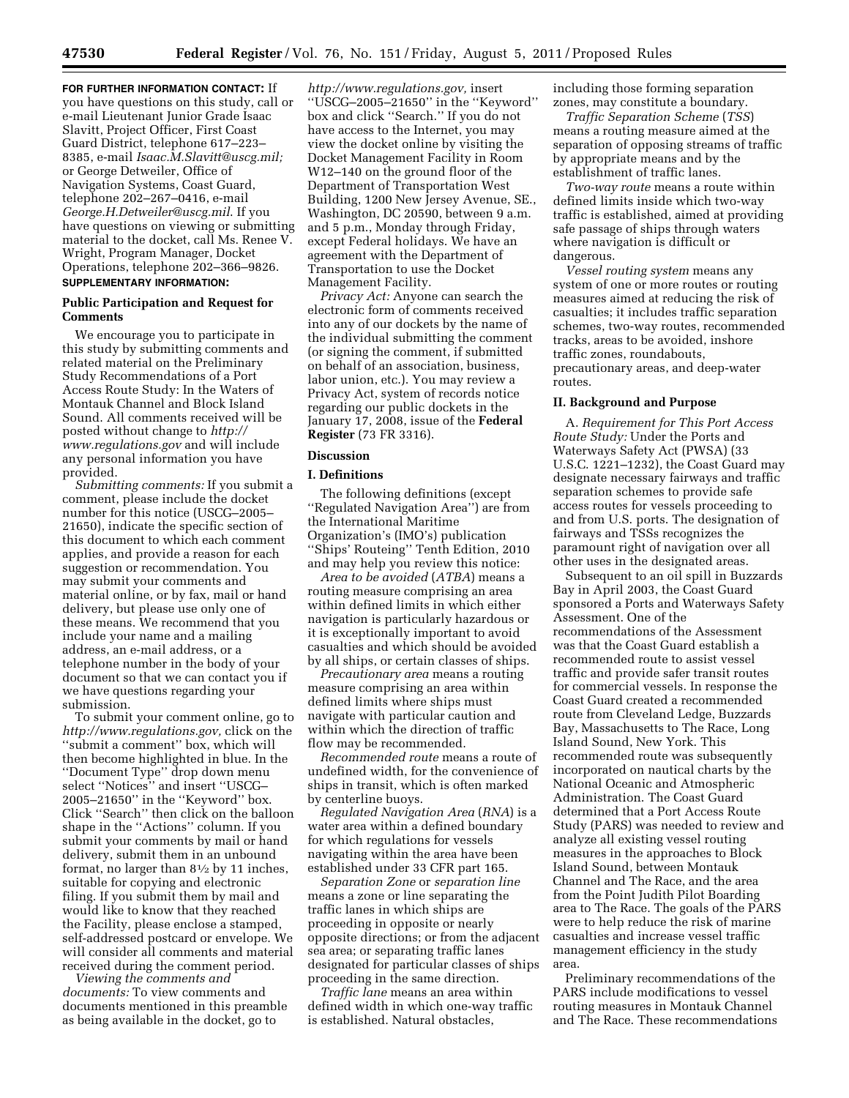**FOR FURTHER INFORMATION CONTACT:** If you have questions on this study, call or e-mail Lieutenant Junior Grade Isaac Slavitt, Project Officer, First Coast Guard District, telephone 617–223– 8385, e-mail *[Isaac.M.Slavitt@uscg.mil;](mailto:Isaac.M.Slavitt@uscg.mil)*  or George Detweiler, Office of Navigation Systems, Coast Guard, telephone 202–267–0416, e-mail *[George.H.Detweiler@uscg.mil](mailto:George.H.Detweiler@uscg.mil)*. If you have questions on viewing or submitting material to the docket, call Ms. Renee V. Wright, Program Manager, Docket Operations, telephone 202–366–9826. **SUPPLEMENTARY INFORMATION:** 

## **Public Participation and Request for Comments**

We encourage you to participate in this study by submitting comments and related material on the Preliminary Study Recommendations of a Port Access Route Study: In the Waters of Montauk Channel and Block Island Sound. All comments received will be posted without change to *[http://](http://www.regulations.gov) [www.regulations.gov](http://www.regulations.gov)* and will include any personal information you have provided.

*Submitting comments:* If you submit a comment, please include the docket number for this notice (USCG–2005– 21650), indicate the specific section of this document to which each comment applies, and provide a reason for each suggestion or recommendation. You may submit your comments and material online, or by fax, mail or hand delivery, but please use only one of these means. We recommend that you include your name and a mailing address, an e-mail address, or a telephone number in the body of your document so that we can contact you if we have questions regarding your submission.

To submit your comment online, go to *[http://www.regulations.gov,](http://www.regulations.gov)* click on the ''submit a comment'' box, which will then become highlighted in blue. In the ''Document Type'' drop down menu select ''Notices'' and insert ''USCG– 2005–21650'' in the ''Keyword'' box. Click ''Search'' then click on the balloon shape in the ''Actions'' column. If you submit your comments by mail or hand delivery, submit them in an unbound format, no larger than 81⁄2 by 11 inches, suitable for copying and electronic filing. If you submit them by mail and would like to know that they reached the Facility, please enclose a stamped, self-addressed postcard or envelope. We will consider all comments and material received during the comment period.

*Viewing the comments and documents:* To view comments and documents mentioned in this preamble as being available in the docket, go to

*[http://www.regulations.gov,](http://www.regulations.gov)* insert ''USCG–2005–21650'' in the ''Keyword'' box and click ''Search.'' If you do not have access to the Internet, you may view the docket online by visiting the Docket Management Facility in Room W12–140 on the ground floor of the Department of Transportation West Building, 1200 New Jersey Avenue, SE., Washington, DC 20590, between 9 a.m. and 5 p.m., Monday through Friday, except Federal holidays. We have an agreement with the Department of Transportation to use the Docket Management Facility.

*Privacy Act:* Anyone can search the electronic form of comments received into any of our dockets by the name of the individual submitting the comment (or signing the comment, if submitted on behalf of an association, business, labor union, etc.). You may review a Privacy Act, system of records notice regarding our public dockets in the January 17, 2008, issue of the **Federal Register** (73 FR 3316).

### **Discussion**

### **I. Definitions**

The following definitions (except ''Regulated Navigation Area'') are from the International Maritime Organization's (IMO's) publication ''Ships' Routeing'' Tenth Edition, 2010 and may help you review this notice:

*Area to be avoided* (*ATBA*) means a routing measure comprising an area within defined limits in which either navigation is particularly hazardous or it is exceptionally important to avoid casualties and which should be avoided by all ships, or certain classes of ships.

*Precautionary area* means a routing measure comprising an area within defined limits where ships must navigate with particular caution and within which the direction of traffic flow may be recommended.

*Recommended route* means a route of undefined width, for the convenience of ships in transit, which is often marked by centerline buoys.

*Regulated Navigation Area* (*RNA*) is a water area within a defined boundary for which regulations for vessels navigating within the area have been established under 33 CFR part 165.

*Separation Zone* or *separation line*  means a zone or line separating the traffic lanes in which ships are proceeding in opposite or nearly opposite directions; or from the adjacent sea area; or separating traffic lanes designated for particular classes of ships proceeding in the same direction.

*Traffic lane* means an area within defined width in which one-way traffic is established. Natural obstacles,

including those forming separation zones, may constitute a boundary.

*Traffic Separation Scheme* (*TSS*) means a routing measure aimed at the separation of opposing streams of traffic by appropriate means and by the establishment of traffic lanes.

*Two-way route* means a route within defined limits inside which two-way traffic is established, aimed at providing safe passage of ships through waters where navigation is difficult or dangerous.

*Vessel routing system* means any system of one or more routes or routing measures aimed at reducing the risk of casualties; it includes traffic separation schemes, two-way routes, recommended tracks, areas to be avoided, inshore traffic zones, roundabouts, precautionary areas, and deep-water routes.

### **II. Background and Purpose**

A. *Requirement for This Port Access Route Study:* Under the Ports and Waterways Safety Act (PWSA) (33 U.S.C. 1221–1232), the Coast Guard may designate necessary fairways and traffic separation schemes to provide safe access routes for vessels proceeding to and from U.S. ports. The designation of fairways and TSSs recognizes the paramount right of navigation over all other uses in the designated areas.

Subsequent to an oil spill in Buzzards Bay in April 2003, the Coast Guard sponsored a Ports and Waterways Safety Assessment. One of the recommendations of the Assessment was that the Coast Guard establish a recommended route to assist vessel traffic and provide safer transit routes for commercial vessels. In response the Coast Guard created a recommended route from Cleveland Ledge, Buzzards Bay, Massachusetts to The Race, Long Island Sound, New York. This recommended route was subsequently incorporated on nautical charts by the National Oceanic and Atmospheric Administration. The Coast Guard determined that a Port Access Route Study (PARS) was needed to review and analyze all existing vessel routing measures in the approaches to Block Island Sound, between Montauk Channel and The Race, and the area from the Point Judith Pilot Boarding area to The Race. The goals of the PARS were to help reduce the risk of marine casualties and increase vessel traffic management efficiency in the study area.

Preliminary recommendations of the PARS include modifications to vessel routing measures in Montauk Channel and The Race. These recommendations